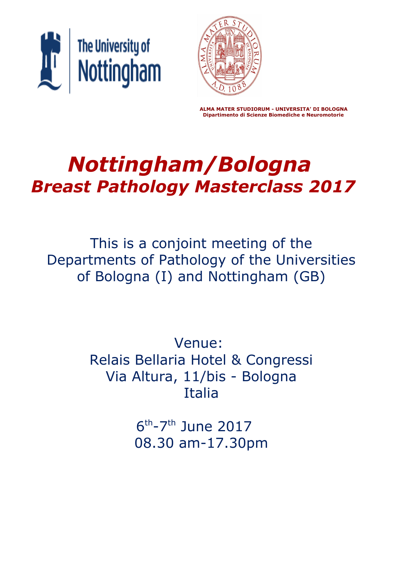



 **ALMA MATER STUDIORUM - UNIVERSITA' DI BOLOGNA Dipartimento di Scienze Biomediche e Neuromotorie**

# *Nottingham/Bologna Breast Pathology Masterclass 2017*

This is a conjoint meeting of the Departments of Pathology of the Universities of Bologna (I) and Nottingham (GB)

> Venue: Relais Bellaria Hotel & Congressi Via Altura, 11/bis - Bologna Italia

> > 6<sup>th</sup>-7<sup>th</sup> June 2017 08.30 am-17.30pm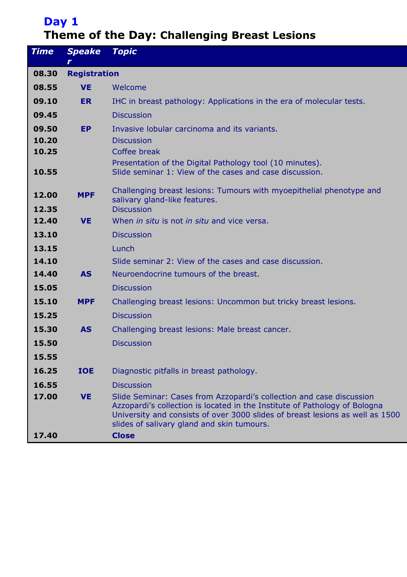# **Day 1 Theme of the Day: Challenging Breast Lesions**

| <b>Time</b> | <b>Speake</b><br>r | <b>Topic</b>                                                                                                                                                                                                                                                                      |  |  |  |  |
|-------------|--------------------|-----------------------------------------------------------------------------------------------------------------------------------------------------------------------------------------------------------------------------------------------------------------------------------|--|--|--|--|
| 08.30       |                    | <b>Registration</b>                                                                                                                                                                                                                                                               |  |  |  |  |
| 08.55       | <b>VE</b>          | Welcome                                                                                                                                                                                                                                                                           |  |  |  |  |
| 09.10       | <b>ER</b>          | IHC in breast pathology: Applications in the era of molecular tests.                                                                                                                                                                                                              |  |  |  |  |
| 09.45       |                    | <b>Discussion</b>                                                                                                                                                                                                                                                                 |  |  |  |  |
| 09.50       | <b>EP</b>          | Invasive lobular carcinoma and its variants.                                                                                                                                                                                                                                      |  |  |  |  |
| 10.20       |                    | <b>Discussion</b>                                                                                                                                                                                                                                                                 |  |  |  |  |
| 10.25       |                    | Coffee break                                                                                                                                                                                                                                                                      |  |  |  |  |
| 10.55       |                    | Presentation of the Digital Pathology tool (10 minutes).<br>Slide seminar 1: View of the cases and case discussion.                                                                                                                                                               |  |  |  |  |
| 12.00       | <b>MPF</b>         | Challenging breast lesions: Tumours with myoepithelial phenotype and<br>salivary gland-like features.                                                                                                                                                                             |  |  |  |  |
| 12.35       |                    | <b>Discussion</b>                                                                                                                                                                                                                                                                 |  |  |  |  |
| 12.40       | <b>VE</b>          | When <i>in situ</i> is not <i>in situ</i> and vice versa.                                                                                                                                                                                                                         |  |  |  |  |
| 13.10       |                    | <b>Discussion</b>                                                                                                                                                                                                                                                                 |  |  |  |  |
| 13.15       |                    | Lunch                                                                                                                                                                                                                                                                             |  |  |  |  |
| 14.10       |                    | Slide seminar 2: View of the cases and case discussion.                                                                                                                                                                                                                           |  |  |  |  |
| 14.40       | <b>AS</b>          | Neuroendocrine tumours of the breast.                                                                                                                                                                                                                                             |  |  |  |  |
| 15.05       |                    | <b>Discussion</b>                                                                                                                                                                                                                                                                 |  |  |  |  |
| 15.10       | <b>MPF</b>         | Challenging breast lesions: Uncommon but tricky breast lesions.                                                                                                                                                                                                                   |  |  |  |  |
| 15.25       |                    | <b>Discussion</b>                                                                                                                                                                                                                                                                 |  |  |  |  |
| 15.30       | <b>AS</b>          | Challenging breast lesions: Male breast cancer.                                                                                                                                                                                                                                   |  |  |  |  |
| 15.50       |                    | <b>Discussion</b>                                                                                                                                                                                                                                                                 |  |  |  |  |
| 15.55       |                    |                                                                                                                                                                                                                                                                                   |  |  |  |  |
| 16.25       | <b>IOE</b>         | Diagnostic pitfalls in breast pathology.                                                                                                                                                                                                                                          |  |  |  |  |
| 16.55       |                    | <b>Discussion</b>                                                                                                                                                                                                                                                                 |  |  |  |  |
| 17.00       | <b>VE</b>          | Slide Seminar: Cases from Azzopardi's collection and case discussion<br>Azzopardi's collection is located in the Institute of Pathology of Bologna<br>University and consists of over 3000 slides of breast lesions as well as 1500<br>slides of salivary gland and skin tumours. |  |  |  |  |
| 17.40       |                    | <b>Close</b>                                                                                                                                                                                                                                                                      |  |  |  |  |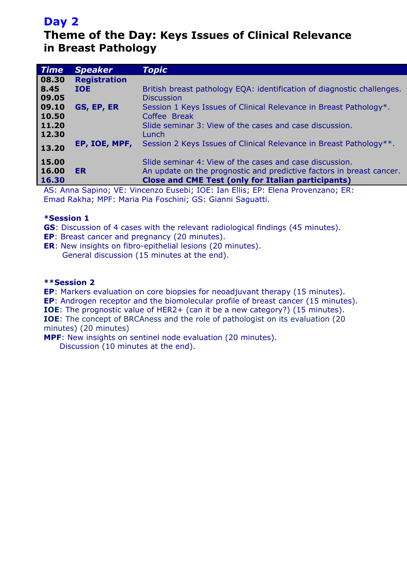# **Day 2**

# **Theme of the Day: Keys Issues of Clinical Relevance in Breast Pathology**

| <b>Time</b> | <b>Speaker</b>      | Topic                                                                  |
|-------------|---------------------|------------------------------------------------------------------------|
| 08.30       | <b>Registration</b> |                                                                        |
| 8.45        | <b>IOE</b>          | British breast pathology EQA: identification of diagnostic challenges. |
| 09.05       |                     | <b>Discussion</b>                                                      |
| 09.10       | GS, EP, ER          | Session 1 Keys Issues of Clinical Relevance in Breast Pathology*.      |
| 10.50       |                     | Coffee Break                                                           |
| 11.20       |                     | Slide seminar 3: View of the cases and case discussion.                |
| 12.30       |                     | Lunch                                                                  |
| 13.20       | EP, IOE, MPF,       | Session 2 Keys Issues of Clinical Relevance in Breast Pathology**.     |
|             |                     |                                                                        |
| 15.00       |                     | Slide seminar 4: View of the cases and case discussion.                |
| 16.00       | <b>ER</b>           | An update on the prognostic and predictive factors in breast cancer.   |
| 16.30       |                     | <b>Close and CME Test (only for Italian participants)</b>              |

AS: Anna Sapino; VE: Vincenzo Eusebi; IOE: Ian Ellis; EP: Elena Provenzano; ER: Emad Rakha; MPF: Maria Pia Foschini; GS: Gianni Saguatti.

# **\*Session 1**

- **GS**: Discussion of 4 cases with the relevant radiological findings (45 minutes).
- **EP**: Breast cancer and pregnancy (20 minutes).
- **ER**: New insights on fibro-epithelial lesions (20 minutes). General discussion (15 minutes at the end).

# **\*\*Session 2**

**EP**: Markers evaluation on core biopsies for neoadjuvant therapy (15 minutes).

**EP**: Androgen receptor and the biomolecular profile of breast cancer (15 minutes).

**IOE**: The prognostic value of HER2+ (can it be a new category?) (15 minutes). **IOE**: The concept of BRCAness and the role of pathologist on its evaluation (20

minutes) (20 minutes)

**MPF**: New insights on sentinel node evaluation (20 minutes).

Discussion (10 minutes at the end).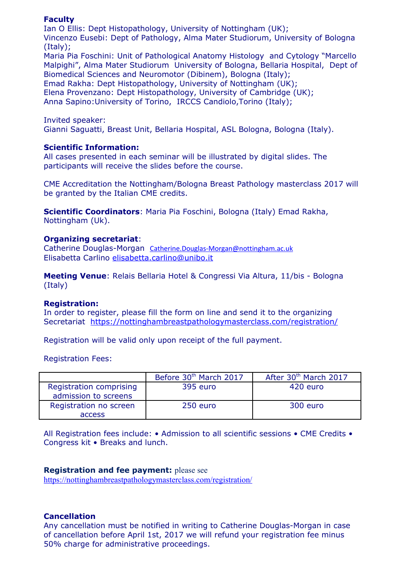# **Faculty**

Ian O Ellis: Dept Histopathology, University of Nottingham (UK); Vincenzo Eusebi: Dept of Pathology, Alma Mater Studiorum, University of Bologna (Italy); Maria Pia Foschini: Unit of Pathological Anatomy Histology and Cytology "Marcello Malpighi", Alma Mater Studiorum University of Bologna, Bellaria Hospital, Dept of Biomedical Sciences and Neuromotor (Dibinem), Bologna (Italy);

Emad Rakha: Dept Histopathology, University of Nottingham (UK);

Elena Provenzano: Dept Histopathology, University of Cambridge (UK);

Anna Sapino:University of Torino, IRCCS Candiolo,Torino (Italy);

Invited speaker:

Gianni Saguatti, Breast Unit, Bellaria Hospital, ASL Bologna, Bologna (Italy).

## **Scientific Information:**

All cases presented in each seminar will be illustrated by digital slides. The participants will receive the slides before the course.

CME Accreditation the Nottingham/Bologna Breast Pathology masterclass 2017 will be granted by the Italian CME credits.

**Scientific Coordinators**: Maria Pia Foschini, Bologna (Italy) Emad Rakha, Nottingham (Uk).

## **Organizing secretariat**:

Catherine Douglas-Morgan [Catherine.Douglas-Morgan@nottingham.ac.uk](mailto:Catherine.Douglas-Morgan@nottingham.ac.uk) Elisabetta Carlino [elisabetta.carlino@unibo.it](mailto:elisabetta.carlino@unibo.it)

**Meeting Venue**: Relais Bellaria Hotel & Congressi Via Altura, 11/bis - Bologna (Italy)

## **Registration:**

In order to register, please fill the form on line and send it to the organizing Secretariat <https://nottinghambreastpathologymasterclass.com/registration/>

Registration will be valid only upon receipt of the full payment.

Registration Fees:

|                                                 | Before 30 <sup>th</sup> March 2017 | After 30th March 2017 |
|-------------------------------------------------|------------------------------------|-----------------------|
| Registration comprising<br>admission to screens | 395 euro                           | 420 euro              |
| Registration no screen                          | 250 euro                           | 300 euro              |
| <b>access</b>                                   |                                    |                       |

All Registration fees include: • Admission to all scientific sessions • CME Credits • Congress kit • Breaks and lunch.

## **Registration and fee payment:** please see

<https://nottinghambreastpathologymasterclass.com/registration/>

## **Cancellation**

Any cancellation must be notified in writing to Catherine Douglas-Morgan in case of cancellation before April 1st, 2017 we will refund your registration fee minus 50% charge for administrative proceedings.